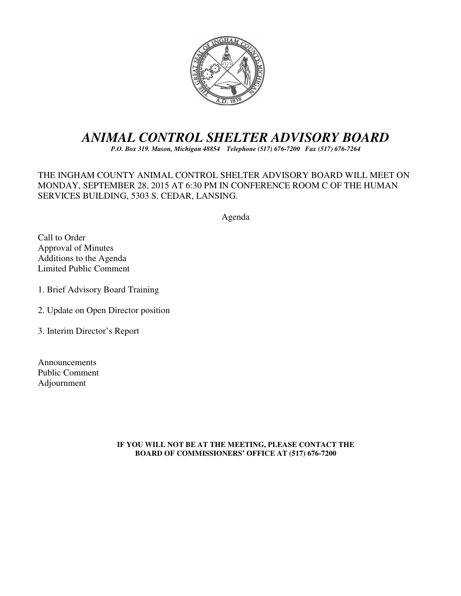

# *ANIMAL CONTROL SHELTER ADVISORY BOARD*

*P.O. Box 319. Mason, Michigan 48854 Telephone (517) 676-7200 Fax (517) 676-7264*

THE INGHAM COUNTY ANIMAL CONTROL SHELTER ADVISORY BOARD WILL MEET ON MONDAY, SEPTEMBER 28, 2015 AT 6:30 PM IN CONFERENCE ROOM C OF THE HUMAN SERVICES BUILDING, 5303 S. CEDAR, LANSING.

Agenda

Call to Order Approval of Minutes Additions to the Agenda Limited Public Comment

- 1. Brief Advisory Board Training
- 2. Update on Open Director position
- 3. Interim Director's Report

Announcements Public Comment Adjournment

> **IF YOU WILL NOT BE AT THE MEETING, PLEASE CONTACT THE BOARD OF COMMISSIONERS' OFFICE AT (517) 676-7200**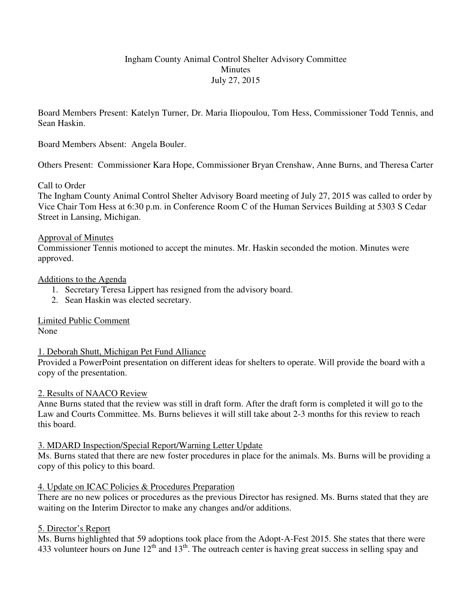# Ingham County Animal Control Shelter Advisory Committee Minutes July 27, 2015

Board Members Present: Katelyn Turner, Dr. Maria Iliopoulou, Tom Hess, Commissioner Todd Tennis, and Sean Haskin.

Board Members Absent: Angela Bouler.

Others Present: Commissioner Kara Hope, Commissioner Bryan Crenshaw, Anne Burns, and Theresa Carter

## Call to Order

The Ingham County Animal Control Shelter Advisory Board meeting of July 27, 2015 was called to order by Vice Chair Tom Hess at 6:30 p.m. in Conference Room C of the Human Services Building at 5303 S Cedar Street in Lansing, Michigan.

## Approval of Minutes

Commissioner Tennis motioned to accept the minutes. Mr. Haskin seconded the motion. Minutes were approved.

#### Additions to the Agenda

- 1. Secretary Teresa Lippert has resigned from the advisory board.
- 2. Sean Haskin was elected secretary.

Limited Public Comment

None

# 1. Deborah Shutt, Michigan Pet Fund Alliance

Provided a PowerPoint presentation on different ideas for shelters to operate. Will provide the board with a copy of the presentation.

#### 2. Results of NAACO Review

Anne Burns stated that the review was still in draft form. After the draft form is completed it will go to the Law and Courts Committee. Ms. Burns believes it will still take about 2-3 months for this review to reach this board.

# 3. MDARD Inspection/Special Report/Warning Letter Update

Ms. Burns stated that there are new foster procedures in place for the animals. Ms. Burns will be providing a copy of this policy to this board.

# 4. Update on ICAC Policies & Procedures Preparation

There are no new polices or procedures as the previous Director has resigned. Ms. Burns stated that they are waiting on the Interim Director to make any changes and/or additions.

# 5. Director's Report

Ms. Burns highlighted that 59 adoptions took place from the Adopt-A-Fest 2015. She states that there were 433 volunteer hours on June  $12<sup>th</sup>$  and  $13<sup>th</sup>$ . The outreach center is having great success in selling spay and